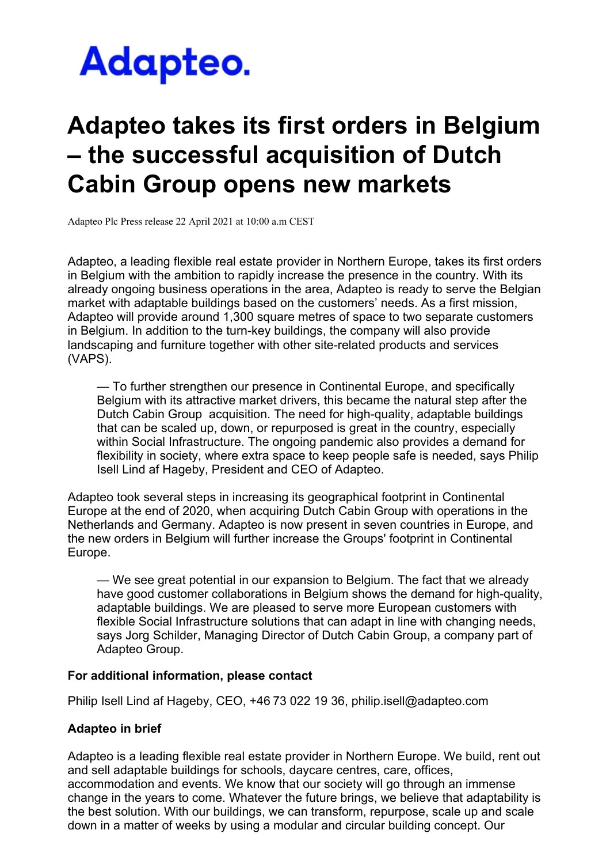

## **Adapteo takes its first orders in Belgium – the successful acquisition of Dutch Cabin Group opens new markets**

Adapteo Plc Press release 22 April 2021 at 10:00 a.m CEST

Adapteo, a leading flexible real estate provider in Northern Europe, takes its first orders in Belgium with the ambition to rapidly increase the presence in the country. With its already ongoing business operations in the area, Adapteo is ready to serve the Belgian market with adaptable buildings based on the customers' needs. As a first mission, Adapteo will provide around 1,300 square metres of space to two separate customers in Belgium. In addition to the turn-key buildings, the company will also provide landscaping and furniture together with other site-related products and services (VAPS).

— To further strengthen our presence in Continental Europe, and specifically Belgium with its attractive market drivers, this became the natural step after the Dutch Cabin Group acquisition. The need for high-quality, adaptable buildings that can be scaled up, down, or repurposed is great in the country, especially within Social Infrastructure. The ongoing pandemic also provides a demand for flexibility in society, where extra space to keep people safe is needed, says Philip Isell Lind af Hageby, President and CEO of Adapteo.

Adapteo took several steps in increasing its geographical footprint in Continental Europe at the end of 2020, when acquiring Dutch Cabin Group with operations in the Netherlands and Germany. Adapteo is now present in seven countries in Europe, and the new orders in Belgium will further increase the Groups' footprint in Continental Europe.

— We see great potential in our expansion to Belgium. The fact that we already have good customer collaborations in Belgium shows the demand for high-quality, adaptable buildings. We are pleased to serve more European customers with flexible Social Infrastructure solutions that can adapt in line with changing needs, says Jorg Schilder, Managing Director of Dutch Cabin Group, a company part of Adapteo Group.

## **For additional information, please contact**

Philip Isell Lind af Hageby, CEO, +46 73 022 19 36, philip.isell@adapteo.com

## **Adapteo in brief**

Adapteo is a leading flexible real estate provider in Northern Europe. We build, rent out and sell adaptable buildings for schools, daycare centres, care, offices, accommodation and events. We know that our society will go through an immense change in the years to come. Whatever the future brings, we believe that adaptability is the best solution. With our buildings, we can transform, repurpose, scale up and scale down in a matter of weeks by using a modular and circular building concept. Our